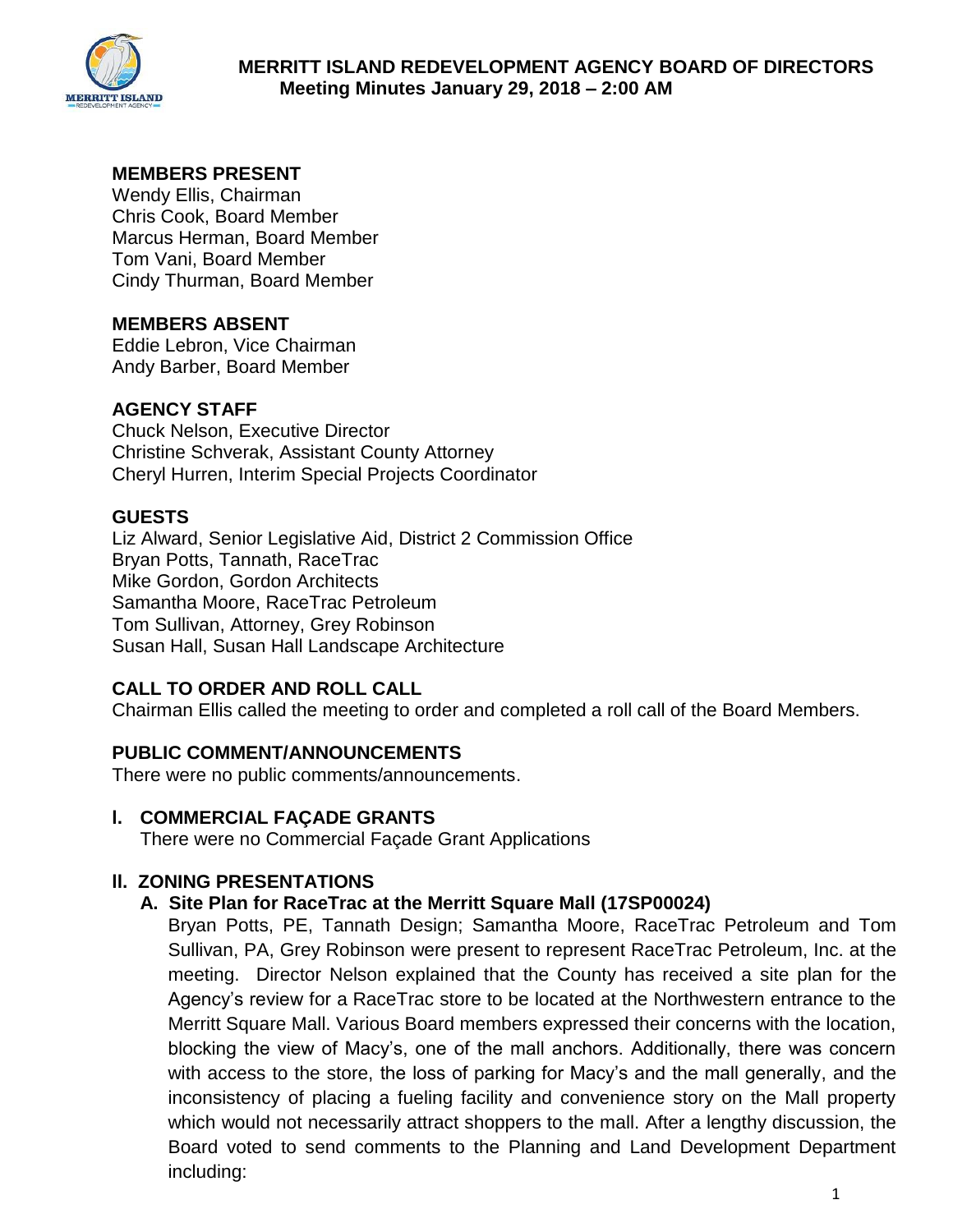

# **MEMBERS PRESENT**

Wendy Ellis, Chairman Chris Cook, Board Member Marcus Herman, Board Member Tom Vani, Board Member Cindy Thurman, Board Member

# **MEMBERS ABSENT**

Eddie Lebron, Vice Chairman Andy Barber, Board Member

### **AGENCY STAFF**

Chuck Nelson, Executive Director Christine Schverak, Assistant County Attorney Cheryl Hurren, Interim Special Projects Coordinator

### **GUESTS**

Liz Alward, Senior Legislative Aid, District 2 Commission Office Bryan Potts, Tannath, RaceTrac Mike Gordon, Gordon Architects Samantha Moore, RaceTrac Petroleum Tom Sullivan, Attorney, Grey Robinson Susan Hall, Susan Hall Landscape Architecture

# **CALL TO ORDER AND ROLL CALL**

Chairman Ellis called the meeting to order and completed a roll call of the Board Members.

# **PUBLIC COMMENT/ANNOUNCEMENTS**

There were no public comments/announcements.

# **l. COMMERCIAL FAÇADE GRANTS**

There were no Commercial Façade Grant Applications

# **ll. ZONING PRESENTATIONS**

### **A. Site Plan for RaceTrac at the Merritt Square Mall (17SP00024)**

Bryan Potts, PE, Tannath Design; Samantha Moore, RaceTrac Petroleum and Tom Sullivan, PA, Grey Robinson were present to represent RaceTrac Petroleum, Inc. at the meeting. Director Nelson explained that the County has received a site plan for the Agency's review for a RaceTrac store to be located at the Northwestern entrance to the Merritt Square Mall. Various Board members expressed their concerns with the location, blocking the view of Macy's, one of the mall anchors. Additionally, there was concern with access to the store, the loss of parking for Macy's and the mall generally, and the inconsistency of placing a fueling facility and convenience story on the Mall property which would not necessarily attract shoppers to the mall. After a lengthy discussion, the Board voted to send comments to the Planning and Land Development Department including: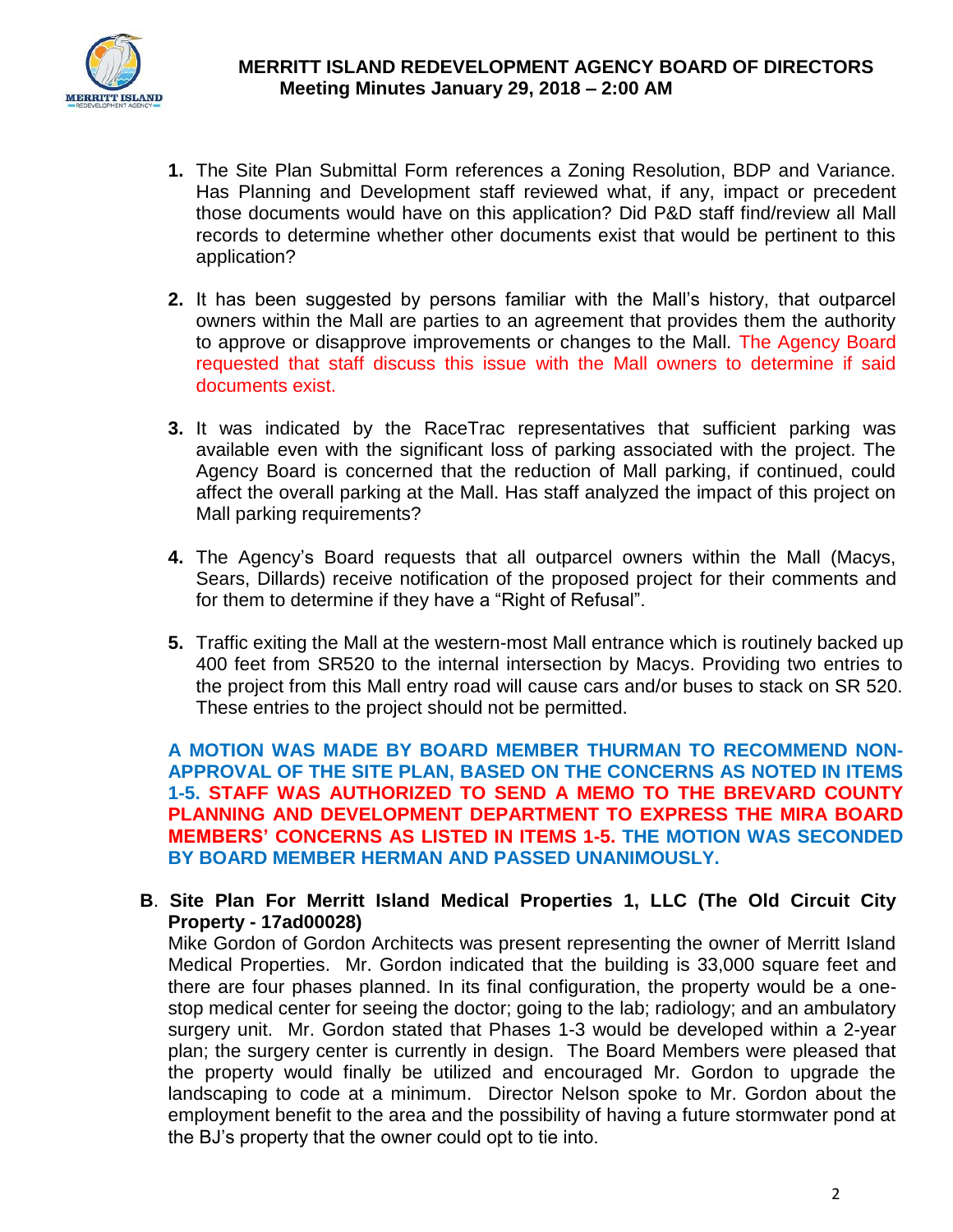

- **1.** The Site Plan Submittal Form references a Zoning Resolution, BDP and Variance. Has Planning and Development staff reviewed what, if any, impact or precedent those documents would have on this application? Did P&D staff find/review all Mall records to determine whether other documents exist that would be pertinent to this application?
- **2.** It has been suggested by persons familiar with the Mall's history, that outparcel owners within the Mall are parties to an agreement that provides them the authority to approve or disapprove improvements or changes to the Mall. The Agency Board requested that staff discuss this issue with the Mall owners to determine if said documents exist.
- **3.** It was indicated by the RaceTrac representatives that sufficient parking was available even with the significant loss of parking associated with the project. The Agency Board is concerned that the reduction of Mall parking, if continued, could affect the overall parking at the Mall. Has staff analyzed the impact of this project on Mall parking requirements?
- **4.** The Agency's Board requests that all outparcel owners within the Mall (Macys, Sears, Dillards) receive notification of the proposed project for their comments and for them to determine if they have a "Right of Refusal".
- **5.** Traffic exiting the Mall at the western-most Mall entrance which is routinely backed up 400 feet from SR520 to the internal intersection by Macys. Providing two entries to the project from this Mall entry road will cause cars and/or buses to stack on SR 520. These entries to the project should not be permitted.

**A MOTION WAS MADE BY BOARD MEMBER THURMAN TO RECOMMEND NON-APPROVAL OF THE SITE PLAN, BASED ON THE CONCERNS AS NOTED IN ITEMS 1-5. STAFF WAS AUTHORIZED TO SEND A MEMO TO THE BREVARD COUNTY PLANNING AND DEVELOPMENT DEPARTMENT TO EXPRESS THE MIRA BOARD MEMBERS' CONCERNS AS LISTED IN ITEMS 1-5. THE MOTION WAS SECONDED BY BOARD MEMBER HERMAN AND PASSED UNANIMOUSLY.** 

**B**. **Site Plan For Merritt Island Medical Properties 1, LLC (The Old Circuit City Property - 17ad00028)**

Mike Gordon of Gordon Architects was present representing the owner of Merritt Island Medical Properties. Mr. Gordon indicated that the building is 33,000 square feet and there are four phases planned. In its final configuration, the property would be a onestop medical center for seeing the doctor; going to the lab; radiology; and an ambulatory surgery unit. Mr. Gordon stated that Phases 1-3 would be developed within a 2-year plan; the surgery center is currently in design. The Board Members were pleased that the property would finally be utilized and encouraged Mr. Gordon to upgrade the landscaping to code at a minimum. Director Nelson spoke to Mr. Gordon about the employment benefit to the area and the possibility of having a future stormwater pond at the BJ's property that the owner could opt to tie into.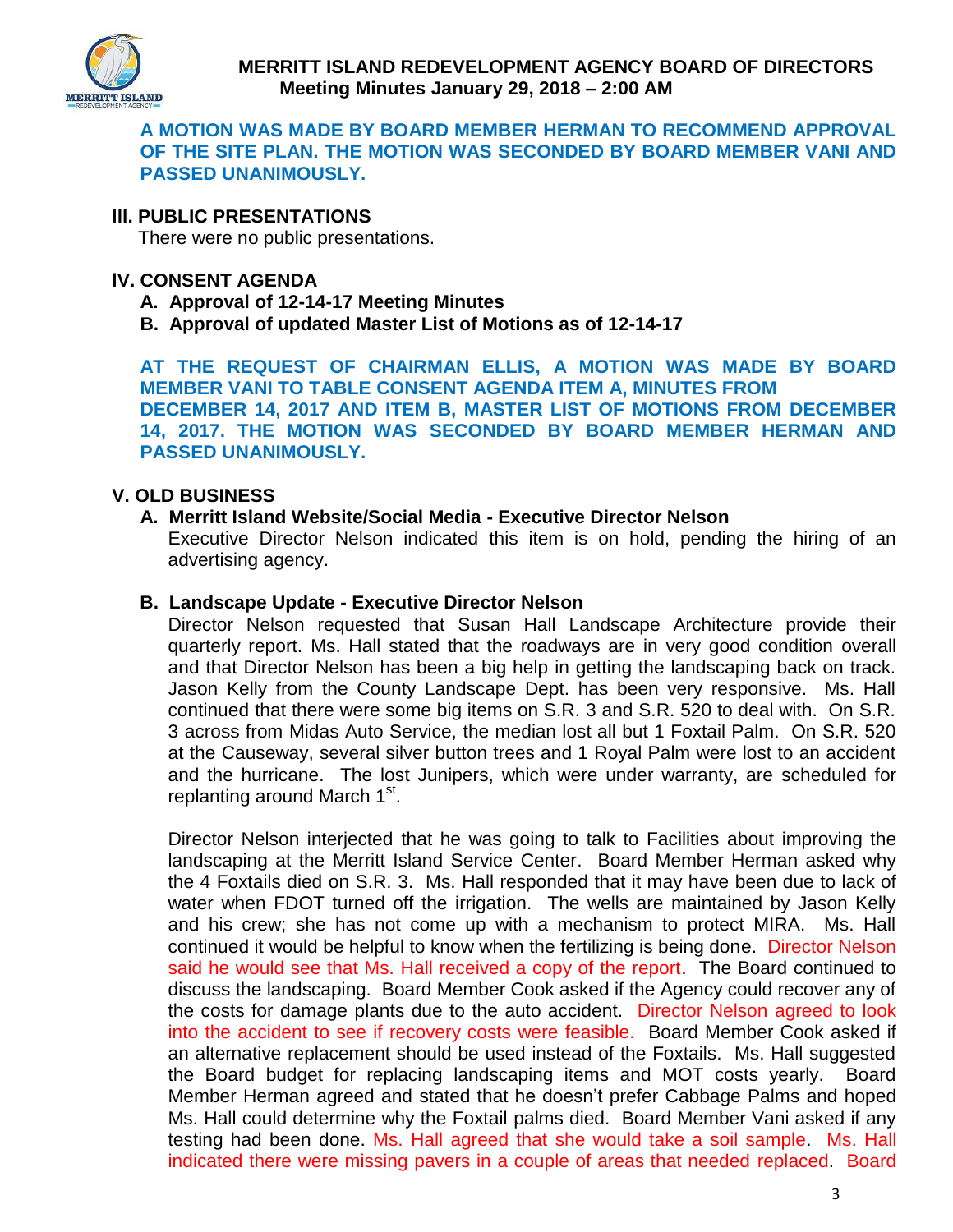

### **A MOTION WAS MADE BY BOARD MEMBER HERMAN TO RECOMMEND APPROVAL OF THE SITE PLAN. THE MOTION WAS SECONDED BY BOARD MEMBER VANI AND PASSED UNANIMOUSLY.**

### **lll. PUBLIC PRESENTATIONS**

There were no public presentations.

#### **lV. CONSENT AGENDA**

- **A. Approval of 12-14-17 Meeting Minutes**
- **B. Approval of updated Master List of Motions as of 12-14-17**

**AT THE REQUEST OF CHAIRMAN ELLIS, A MOTION WAS MADE BY BOARD MEMBER VANI TO TABLE CONSENT AGENDA ITEM A, MINUTES FROM DECEMBER 14, 2017 AND ITEM B, MASTER LIST OF MOTIONS FROM DECEMBER 14, 2017. THE MOTION WAS SECONDED BY BOARD MEMBER HERMAN AND PASSED UNANIMOUSLY.** 

### **V. OLD BUSINESS**

#### **A. Merritt Island Website/Social Media - Executive Director Nelson**

Executive Director Nelson indicated this item is on hold, pending the hiring of an advertising agency.

#### **B. Landscape Update - Executive Director Nelson**

Director Nelson requested that Susan Hall Landscape Architecture provide their quarterly report. Ms. Hall stated that the roadways are in very good condition overall and that Director Nelson has been a big help in getting the landscaping back on track. Jason Kelly from the County Landscape Dept. has been very responsive. Ms. Hall continued that there were some big items on S.R. 3 and S.R. 520 to deal with. On S.R. 3 across from Midas Auto Service, the median lost all but 1 Foxtail Palm. On S.R. 520 at the Causeway, several silver button trees and 1 Royal Palm were lost to an accident and the hurricane. The lost Junipers, which were under warranty, are scheduled for replanting around March 1<sup>st</sup>.

Director Nelson interjected that he was going to talk to Facilities about improving the landscaping at the Merritt Island Service Center. Board Member Herman asked why the 4 Foxtails died on S.R. 3. Ms. Hall responded that it may have been due to lack of water when FDOT turned off the irrigation. The wells are maintained by Jason Kelly and his crew; she has not come up with a mechanism to protect MIRA. Ms. Hall continued it would be helpful to know when the fertilizing is being done. Director Nelson said he would see that Ms. Hall received a copy of the report. The Board continued to discuss the landscaping. Board Member Cook asked if the Agency could recover any of the costs for damage plants due to the auto accident. Director Nelson agreed to look into the accident to see if recovery costs were feasible. Board Member Cook asked if an alternative replacement should be used instead of the Foxtails. Ms. Hall suggested the Board budget for replacing landscaping items and MOT costs yearly. Board Member Herman agreed and stated that he doesn't prefer Cabbage Palms and hoped Ms. Hall could determine why the Foxtail palms died. Board Member Vani asked if any testing had been done. Ms. Hall agreed that she would take a soil sample. Ms. Hall indicated there were missing pavers in a couple of areas that needed replaced. Board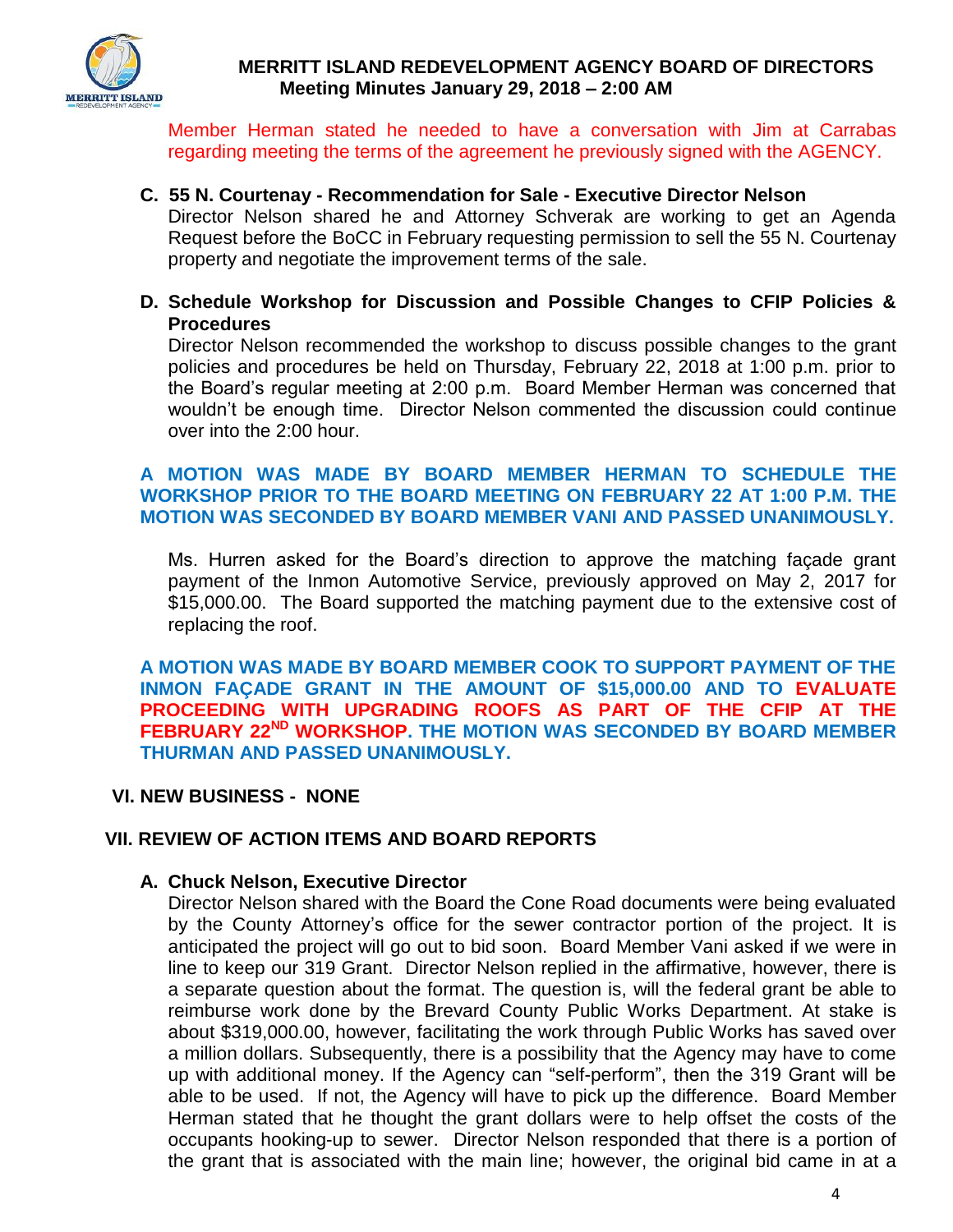

Member Herman stated he needed to have a conversation with Jim at Carrabas regarding meeting the terms of the agreement he previously signed with the AGENCY.

### **C. 55 N. Courtenay - Recommendation for Sale - Executive Director Nelson**

Director Nelson shared he and Attorney Schverak are working to get an Agenda Request before the BoCC in February requesting permission to sell the 55 N. Courtenay property and negotiate the improvement terms of the sale.

**D. Schedule Workshop for Discussion and Possible Changes to CFIP Policies & Procedures** 

Director Nelson recommended the workshop to discuss possible changes to the grant policies and procedures be held on Thursday, February 22, 2018 at 1:00 p.m. prior to the Board's regular meeting at 2:00 p.m. Board Member Herman was concerned that wouldn't be enough time. Director Nelson commented the discussion could continue over into the 2:00 hour.

### **A MOTION WAS MADE BY BOARD MEMBER HERMAN TO SCHEDULE THE WORKSHOP PRIOR TO THE BOARD MEETING ON FEBRUARY 22 AT 1:00 P.M. THE MOTION WAS SECONDED BY BOARD MEMBER VANI AND PASSED UNANIMOUSLY.**

Ms. Hurren asked for the Board's direction to approve the matching façade grant payment of the Inmon Automotive Service, previously approved on May 2, 2017 for \$15,000.00. The Board supported the matching payment due to the extensive cost of replacing the roof.

**A MOTION WAS MADE BY BOARD MEMBER COOK TO SUPPORT PAYMENT OF THE INMON FAÇADE GRANT IN THE AMOUNT OF \$15,000.00 AND TO EVALUATE PROCEEDING WITH UPGRADING ROOFS AS PART OF THE CFIP AT THE FEBRUARY 22ND WORKSHOP. THE MOTION WAS SECONDED BY BOARD MEMBER THURMAN AND PASSED UNANIMOUSLY.** 

### **VI. NEW BUSINESS - NONE**

### **VII. REVIEW OF ACTION ITEMS AND BOARD REPORTS**

#### **A. Chuck Nelson, Executive Director**

Director Nelson shared with the Board the Cone Road documents were being evaluated by the County Attorney's office for the sewer contractor portion of the project. It is anticipated the project will go out to bid soon. Board Member Vani asked if we were in line to keep our 319 Grant. Director Nelson replied in the affirmative, however, there is a separate question about the format. The question is, will the federal grant be able to reimburse work done by the Brevard County Public Works Department. At stake is about \$319,000.00, however, facilitating the work through Public Works has saved over a million dollars. Subsequently, there is a possibility that the Agency may have to come up with additional money. If the Agency can "self-perform", then the 319 Grant will be able to be used. If not, the Agency will have to pick up the difference. Board Member Herman stated that he thought the grant dollars were to help offset the costs of the occupants hooking-up to sewer. Director Nelson responded that there is a portion of the grant that is associated with the main line; however, the original bid came in at a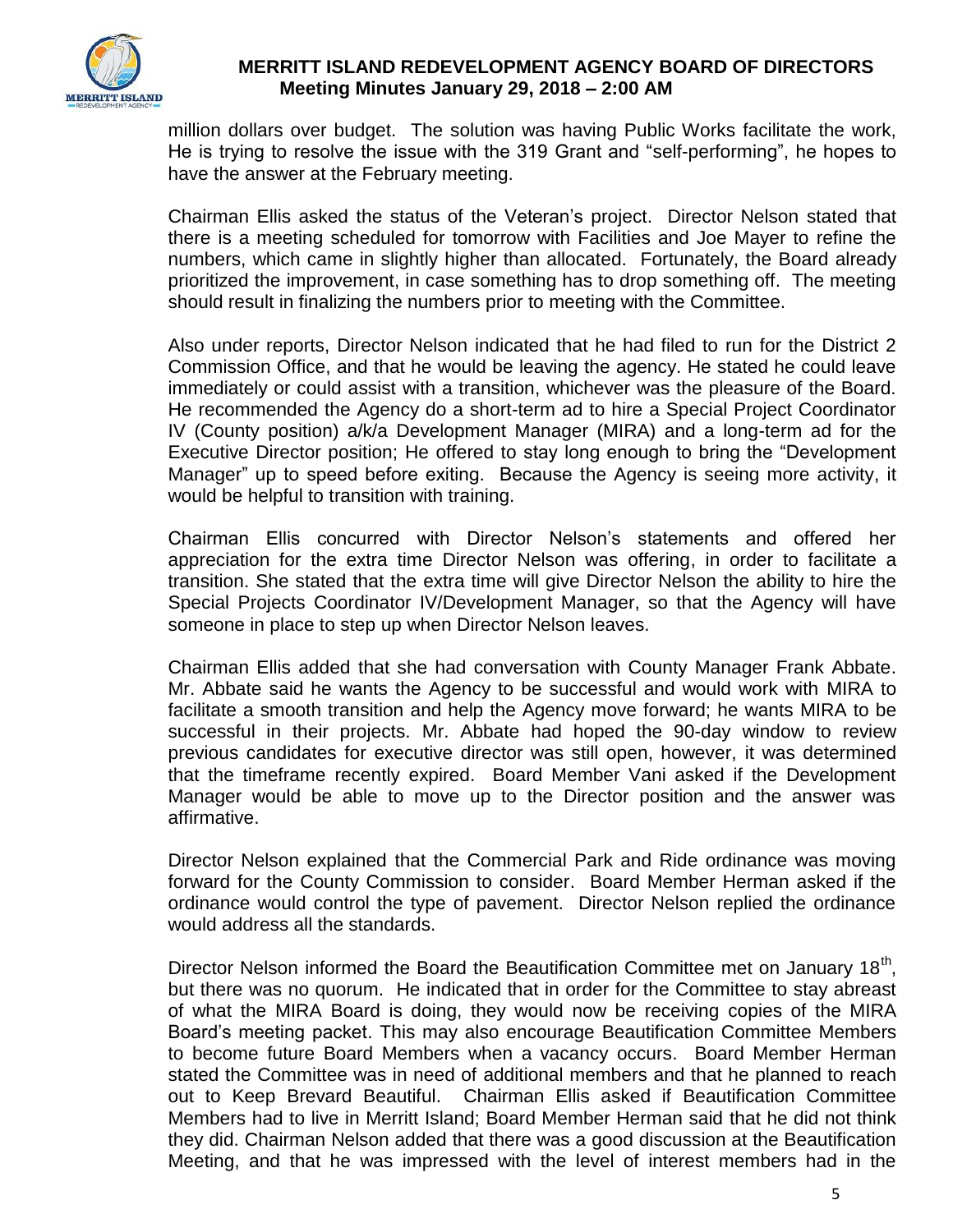

million dollars over budget. The solution was having Public Works facilitate the work, He is trying to resolve the issue with the 319 Grant and "self-performing", he hopes to have the answer at the February meeting.

Chairman Ellis asked the status of the Veteran's project. Director Nelson stated that there is a meeting scheduled for tomorrow with Facilities and Joe Mayer to refine the numbers, which came in slightly higher than allocated. Fortunately, the Board already prioritized the improvement, in case something has to drop something off. The meeting should result in finalizing the numbers prior to meeting with the Committee.

Also under reports, Director Nelson indicated that he had filed to run for the District 2 Commission Office, and that he would be leaving the agency. He stated he could leave immediately or could assist with a transition, whichever was the pleasure of the Board. He recommended the Agency do a short-term ad to hire a Special Project Coordinator IV (County position) a/k/a Development Manager (MIRA) and a long-term ad for the Executive Director position; He offered to stay long enough to bring the "Development Manager" up to speed before exiting. Because the Agency is seeing more activity, it would be helpful to transition with training.

Chairman Ellis concurred with Director Nelson's statements and offered her appreciation for the extra time Director Nelson was offering, in order to facilitate a transition. She stated that the extra time will give Director Nelson the ability to hire the Special Projects Coordinator IV/Development Manager, so that the Agency will have someone in place to step up when Director Nelson leaves.

Chairman Ellis added that she had conversation with County Manager Frank Abbate. Mr. Abbate said he wants the Agency to be successful and would work with MIRA to facilitate a smooth transition and help the Agency move forward; he wants MIRA to be successful in their projects. Mr. Abbate had hoped the 90-day window to review previous candidates for executive director was still open, however, it was determined that the timeframe recently expired. Board Member Vani asked if the Development Manager would be able to move up to the Director position and the answer was affirmative.

Director Nelson explained that the Commercial Park and Ride ordinance was moving forward for the County Commission to consider. Board Member Herman asked if the ordinance would control the type of pavement. Director Nelson replied the ordinance would address all the standards.

Director Nelson informed the Board the Beautification Committee met on January 18<sup>th</sup>, but there was no quorum. He indicated that in order for the Committee to stay abreast of what the MIRA Board is doing, they would now be receiving copies of the MIRA Board's meeting packet. This may also encourage Beautification Committee Members to become future Board Members when a vacancy occurs. Board Member Herman stated the Committee was in need of additional members and that he planned to reach out to Keep Brevard Beautiful. Chairman Ellis asked if Beautification Committee Members had to live in Merritt Island; Board Member Herman said that he did not think they did. Chairman Nelson added that there was a good discussion at the Beautification Meeting, and that he was impressed with the level of interest members had in the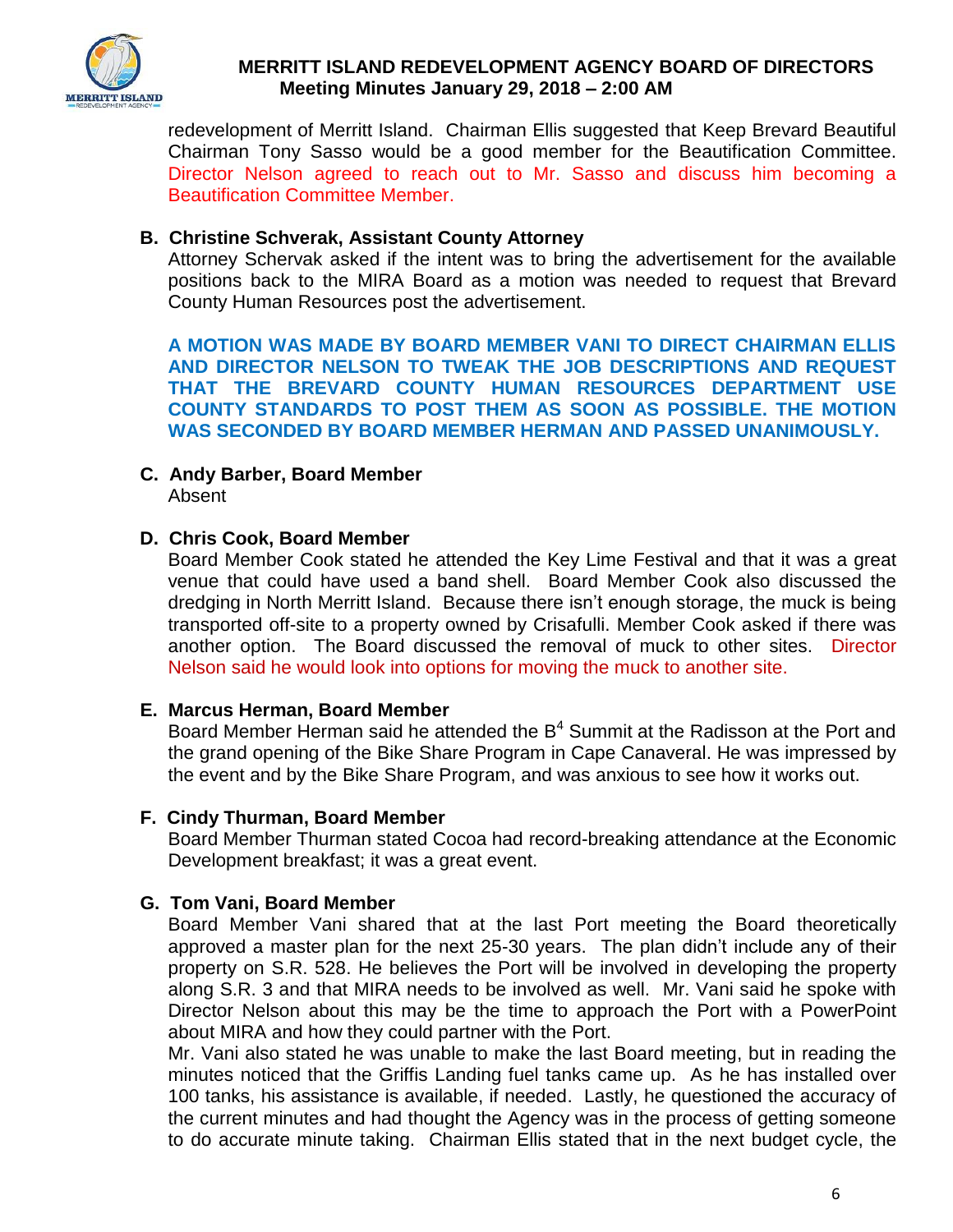

redevelopment of Merritt Island. Chairman Ellis suggested that Keep Brevard Beautiful Chairman Tony Sasso would be a good member for the Beautification Committee. Director Nelson agreed to reach out to Mr. Sasso and discuss him becoming a Beautification Committee Member.

### **B. Christine Schverak, Assistant County Attorney**

Attorney Schervak asked if the intent was to bring the advertisement for the available positions back to the MIRA Board as a motion was needed to request that Brevard County Human Resources post the advertisement.

**A MOTION WAS MADE BY BOARD MEMBER VANI TO DIRECT CHAIRMAN ELLIS AND DIRECTOR NELSON TO TWEAK THE JOB DESCRIPTIONS AND REQUEST THAT THE BREVARD COUNTY HUMAN RESOURCES DEPARTMENT USE COUNTY STANDARDS TO POST THEM AS SOON AS POSSIBLE. THE MOTION WAS SECONDED BY BOARD MEMBER HERMAN AND PASSED UNANIMOUSLY.** 

**C. Andy Barber, Board Member** Absent

### **D. Chris Cook, Board Member**

Board Member Cook stated he attended the Key Lime Festival and that it was a great venue that could have used a band shell. Board Member Cook also discussed the dredging in North Merritt Island. Because there isn't enough storage, the muck is being transported off-site to a property owned by Crisafulli. Member Cook asked if there was another option. The Board discussed the removal of muck to other sites. Director Nelson said he would look into options for moving the muck to another site.

### **E. Marcus Herman, Board Member**

Board Member Herman said he attended the B<sup>4</sup> Summit at the Radisson at the Port and the grand opening of the Bike Share Program in Cape Canaveral. He was impressed by the event and by the Bike Share Program, and was anxious to see how it works out.

### **F. Cindy Thurman, Board Member**

Board Member Thurman stated Cocoa had record-breaking attendance at the Economic Development breakfast; it was a great event.

### **G. Tom Vani, Board Member**

Board Member Vani shared that at the last Port meeting the Board theoretically approved a master plan for the next 25-30 years. The plan didn't include any of their property on S.R. 528. He believes the Port will be involved in developing the property along S.R. 3 and that MIRA needs to be involved as well. Mr. Vani said he spoke with Director Nelson about this may be the time to approach the Port with a PowerPoint about MIRA and how they could partner with the Port.

Mr. Vani also stated he was unable to make the last Board meeting, but in reading the minutes noticed that the Griffis Landing fuel tanks came up. As he has installed over 100 tanks, his assistance is available, if needed. Lastly, he questioned the accuracy of the current minutes and had thought the Agency was in the process of getting someone to do accurate minute taking. Chairman Ellis stated that in the next budget cycle, the